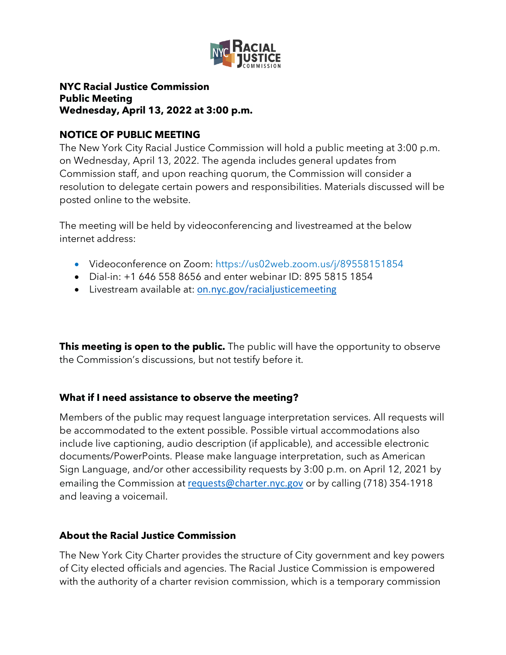

## **NYC Racial Justice Commission Public Meeting Wednesday, April 13, 2022 at 3:00 p.m.**

### **NOTICE OF PUBLIC MEETING**

The New York City Racial Justice Commission will hold a public meeting at 3:00 p.m. on Wednesday, April 13, 2022. The agenda includes general updates from Commission staff, and upon reaching quorum, the Commission will consider a resolution to delegate certain powers and responsibilities. Materials discussed will be posted online to the website.

The meeting will be held by videoconferencing and livestreamed at the below internet address:

- Videoconference on Zoom: https://us02web.zoom.us/j/89558151854
- Dial-in: +1 646 558 8656 and enter webinar ID: 895 5815 1854
- Livestream available at: [on.nyc.gov/racialjusticemeeting](http://on.nyc.gov/racialjusticemeeting)

**This meeting is open to the public.** The public will have the opportunity to observe the Commission's discussions, but not testify before it.

# **What if I need assistance to observe the meeting?**

Members of the public may request language interpretation services. All requests will be accommodated to the extent possible. Possible virtual accommodations also include live captioning, audio description (if applicable), and accessible electronic documents/PowerPoints. Please make language interpretation, such as American Sign Language, and/or other accessibility requests by 3:00 p.m. on April 12, 2021 by emailing the Commission at [requests@charter.nyc.gov](mailto:requests@charter.nyc.gov) or by calling (718) 354-1918 and leaving a voicemail.

# **About the Racial Justice Commission**

The New York City Charter provides the structure of City government and key powers of City elected officials and agencies. The Racial Justice Commission is empowered with the authority of a charter revision commission, which is a temporary commission